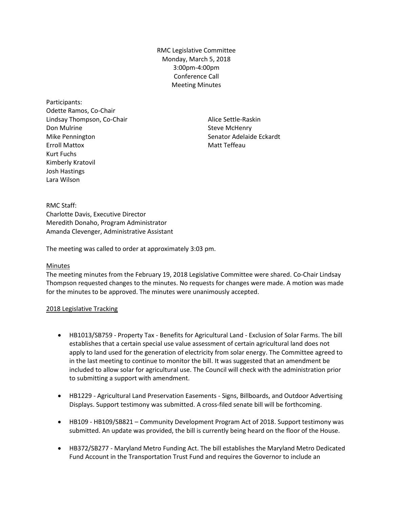RMC Legislative Committee Monday, March 5, 2018 3:00pm-4:00pm Conference Call Meeting Minutes

Participants: Odette Ramos, Co-Chair Lindsay Thompson, Co-Chair Don Mulrine Mike Pennington Erroll Mattox Kurt Fuchs Kimberly Kratovil Josh Hastings Lara Wilson

Alice Settle-Raskin Steve McHenry Senator Adelaide Eckardt Matt Teffeau

RMC Staff: Charlotte Davis, Executive Director Meredith Donaho, Program Administrator Amanda Clevenger, Administrative Assistant

The meeting was called to order at approximately 3:03 pm.

## Minutes

The meeting minutes from the February 19, 2018 Legislative Committee were shared. Co-Chair Lindsay Thompson requested changes to the minutes. No requests for changes were made. A motion was made for the minutes to be approved. The minutes were unanimously accepted.

## 2018 Legislative Tracking

- HB1013/SB759 Property Tax Benefits for Agricultural Land Exclusion of Solar Farms. The bill establishes that a certain special use value assessment of certain agricultural land does not apply to land used for the generation of electricity from solar energy. The Committee agreed to in the last meeting to continue to monitor the bill. It was suggested that an amendment be included to allow solar for agricultural use. The Council will check with the administration prior to submitting a support with amendment.
- HB1229 Agricultural Land Preservation Easements Signs, Billboards, and Outdoor Advertising Displays. Support testimony was submitted. A cross-filed senate bill will be forthcoming.
- HB109 HB109/SB821 Community Development Program Act of 2018. Support testimony was submitted. An update was provided, the bill is currently being heard on the floor of the House.
- HB372/SB277 Maryland Metro Funding Act. The bill establishes the Maryland Metro Dedicated Fund Account in the Transportation Trust Fund and requires the Governor to include an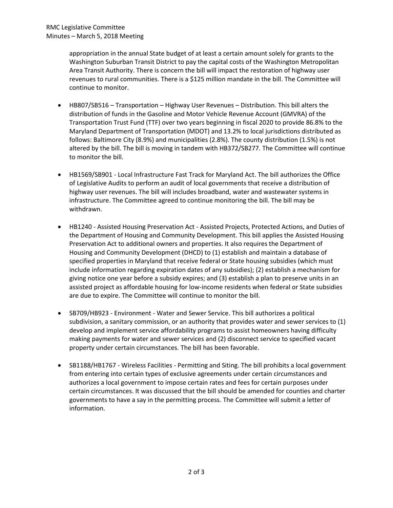appropriation in the annual State budget of at least a certain amount solely for grants to the Washington Suburban Transit District to pay the capital costs of the Washington Metropolitan Area Transit Authority. There is concern the bill will impact the restoration of highway user revenues to rural communities. There is a \$125 million mandate in the bill. The Committee will continue to monitor.

- HB807/SB516 Transportation Highway User Revenues Distribution. This bill alters the distribution of funds in the Gasoline and Motor Vehicle Revenue Account (GMVRA) of the Transportation Trust Fund (TTF) over two years beginning in fiscal 2020 to provide 86.8% to the Maryland Department of Transportation (MDOT) and 13.2% to local jurisdictions distributed as follows: Baltimore City (8.9%) and municipalities (2.8%). The county distribution (1.5%) is not altered by the bill. The bill is moving in tandem with HB372/SB277. The Committee will continue to monitor the bill.
- HB1569/SB901 Local Infrastructure Fast Track for Maryland Act. The bill authorizes the Office of Legislative Audits to perform an audit of local governments that receive a distribution of highway user revenues. The bill will includes broadband, water and wastewater systems in infrastructure. The Committee agreed to continue monitoring the bill. The bill may be withdrawn.
- HB1240 Assisted Housing Preservation Act Assisted Projects, Protected Actions, and Duties of the Department of Housing and Community Development. This bill applies the Assisted Housing Preservation Act to additional owners and properties. It also requires the Department of Housing and Community Development (DHCD) to (1) establish and maintain a database of specified properties in Maryland that receive federal or State housing subsidies (which must include information regarding expiration dates of any subsidies); (2) establish a mechanism for giving notice one year before a subsidy expires; and (3) establish a plan to preserve units in an assisted project as affordable housing for low-income residents when federal or State subsidies are due to expire. The Committee will continue to monitor the bill.
- SB709/HB923 Environment Water and Sewer Service. This bill authorizes a political subdivision, a sanitary commission, or an authority that provides water and sewer services to (1) develop and implement service affordability programs to assist homeowners having difficulty making payments for water and sewer services and (2) disconnect service to specified vacant property under certain circumstances. The bill has been favorable.
- SB1188/HB1767 Wireless Facilities Permitting and Siting. The bill prohibits a local government from entering into certain types of exclusive agreements under certain circumstances and authorizes a local government to impose certain rates and fees for certain purposes under certain circumstances. It was discussed that the bill should be amended for counties and charter governments to have a say in the permitting process. The Committee will submit a letter of information.